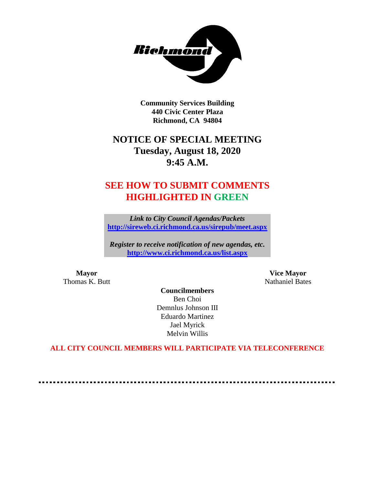

**Community Services Building 440 Civic Center Plaza Richmond, CA 94804**

# **NOTICE OF SPECIAL MEETING Tuesday, August 18, 2020 9:45 A.M.**

# **SEE HOW TO SUBMIT COMMENTS HIGHLIGHTED IN GREEN**

*Link to City Council Agendas/Packets* **<http://sireweb.ci.richmond.ca.us/sirepub/meet.aspx>**

*Register to receive notification of new agendas, etc.* **<http://www.ci.richmond.ca.us/list.aspx>**

**Mayor Vice Mayor** Thomas K. Butt Nathaniel Bates

**Councilmembers** Ben Choi Demnlus Johnson III Eduardo Martinez Jael Myrick Melvin Willis

**ALL CITY COUNCIL MEMBERS WILL PARTICIPATE VIA TELECONFERENCE**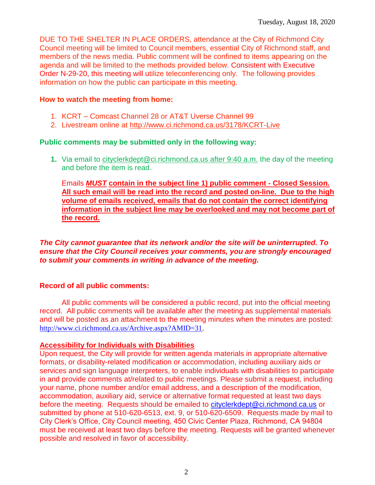DUE TO THE SHELTER IN PLACE ORDERS, attendance at the City of Richmond City Council meeting will be limited to Council members, essential City of Richmond staff, and members of the news media. Public comment will be confined to items appearing on the agenda and will be limited to the methods provided below. Consistent with Executive Order N-29-20, this meeting will utilize teleconferencing only. The following provides information on how the public can participate in this meeting.

#### **How to watch the meeting from home:**

- 1. KCRT Comcast Channel 28 or AT&T Uverse Channel 99
- 2. Livestream online at<http://www.ci.richmond.ca.us/3178/KCRT-Live>

#### **Public comments may be submitted only in the following way:**

**1.** Via email to [cityclerkdept@ci.richmond.ca.us](mailto:cityclerkdept@ci.richmond.ca.us) after 9:40 a.m. the day of the meeting and before the item is read.

Emails *MUST* **contain in the subject line 1) public comment - Closed Session. All such email will be read into the record and posted on-line. Due to the high volume of emails received, emails that do not contain the correct identifying information in the subject line may be overlooked and may not become part of the record.**

#### *The City cannot guarantee that its network and/or the site will be uninterrupted. To ensure that the City Council receives your comments, you are strongly encouraged to submit your comments in writing in advance of the meeting.*

## **Record of all public comments:**

All public comments will be considered a public record, put into the official meeting record. All public comments will be available after the meeting as supplemental materials and will be posted as an attachment to the meeting minutes when the minutes are posted: [http://www.ci.richmond.ca.us/Archive.aspx?AMID=31.](http://www.ci.richmond.ca.us/Archive.aspx?AMID=31)

## **Accessibility for Individuals with Disabilities**

Upon request, the City will provide for written agenda materials in appropriate alternative formats, or disability-related modification or accommodation, including auxiliary aids or services and sign language interpreters, to enable individuals with disabilities to participate in and provide comments at/related to public meetings. Please submit a request, including your name, phone number and/or email address, and a description of the modification, accommodation, auxiliary aid, service or alternative format requested at least two days before the meeting. Requests should be emailed to [cityclerkdept@ci.richmond.ca.us](mailto:cityclerkdept@ci.richmond.ca.us) or submitted by phone at 510-620-6513, ext. 9, or 510-620-6509. Requests made by mail to City Clerk's Office, City Council meeting, 450 Civic Center Plaza, Richmond, CA 94804 must be received at least two days before the meeting. Requests will be granted whenever possible and resolved in favor of accessibility.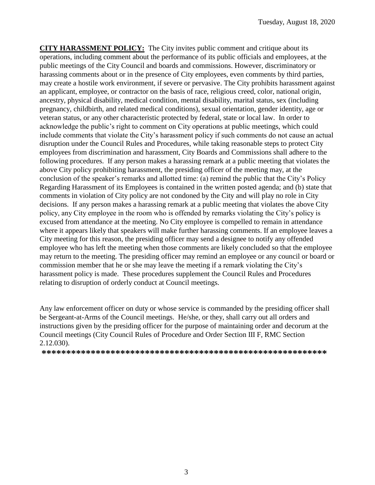**CITY HARASSMENT POLICY:** The City invites public comment and critique about its operations, including comment about the performance of its public officials and employees, at the public meetings of the City Council and boards and commissions. However, discriminatory or harassing comments about or in the presence of City employees, even comments by third parties, may create a hostile work environment, if severe or pervasive. The City prohibits harassment against an applicant, employee, or contractor on the basis of race, religious creed, color, national origin, ancestry, physical disability, medical condition, mental disability, marital status, sex (including pregnancy, childbirth, and related medical conditions), sexual orientation, gender identity, age or veteran status, or any other characteristic protected by federal, state or local law. In order to acknowledge the public's right to comment on City operations at public meetings, which could include comments that violate the City's harassment policy if such comments do not cause an actual disruption under the Council Rules and Procedures, while taking reasonable steps to protect City employees from discrimination and harassment, City Boards and Commissions shall adhere to the following procedures. If any person makes a harassing remark at a public meeting that violates the above City policy prohibiting harassment, the presiding officer of the meeting may, at the conclusion of the speaker's remarks and allotted time: (a) remind the public that the City's Policy Regarding Harassment of its Employees is contained in the written posted agenda; and (b) state that comments in violation of City policy are not condoned by the City and will play no role in City decisions. If any person makes a harassing remark at a public meeting that violates the above City policy, any City employee in the room who is offended by remarks violating the City's policy is excused from attendance at the meeting. No City employee is compelled to remain in attendance where it appears likely that speakers will make further harassing comments. If an employee leaves a City meeting for this reason, the presiding officer may send a designee to notify any offended employee who has left the meeting when those comments are likely concluded so that the employee may return to the meeting. The presiding officer may remind an employee or any council or board or commission member that he or she may leave the meeting if a remark violating the City's harassment policy is made. These procedures supplement the Council Rules and Procedures relating to disruption of orderly conduct at Council meetings.

Any law enforcement officer on duty or whose service is commanded by the presiding officer shall be Sergeant-at-Arms of the Council meetings. He/she, or they, shall carry out all orders and instructions given by the presiding officer for the purpose of maintaining order and decorum at the Council meetings (City Council Rules of Procedure and Order Section III F, RMC Section 2.12.030).

**\*\*\*\*\*\*\*\*\*\*\*\*\*\*\*\*\*\*\*\*\*\*\*\*\*\*\*\*\*\*\*\*\*\*\*\*\*\*\*\*\*\*\*\*\*\*\*\*\*\*\*\*\*\*\*\*\*\***